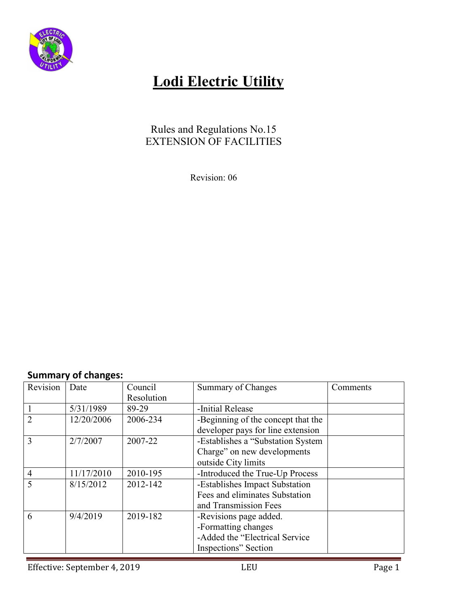

### Rules and Regulations No.15 EXTENSION OF FACILITIES

Revision: 06

### **Summary of changes:**

| Revision       | Date       | Council    | Summary of Changes                 | Comments |
|----------------|------------|------------|------------------------------------|----------|
|                |            | Resolution |                                    |          |
|                | 5/31/1989  | 89-29      | -Initial Release                   |          |
| $\overline{2}$ | 12/20/2006 | 2006-234   | -Beginning of the concept that the |          |
|                |            |            | developer pays for line extension  |          |
| 3              | 2/7/2007   | 2007-22    | -Establishes a "Substation System  |          |
|                |            |            | Charge" on new developments        |          |
|                |            |            | outside City limits                |          |
| $\overline{4}$ | 11/17/2010 | 2010-195   | -Introduced the True-Up Process    |          |
| 5              | 8/15/2012  | 2012-142   | -Establishes Impact Substation     |          |
|                |            |            | Fees and eliminates Substation     |          |
|                |            |            | and Transmission Fees              |          |
| 6              | 9/4/2019   | 2019-182   | -Revisions page added.             |          |
|                |            |            | -Formatting changes                |          |
|                |            |            | -Added the "Electrical Service"    |          |
|                |            |            | Inspections" Section               |          |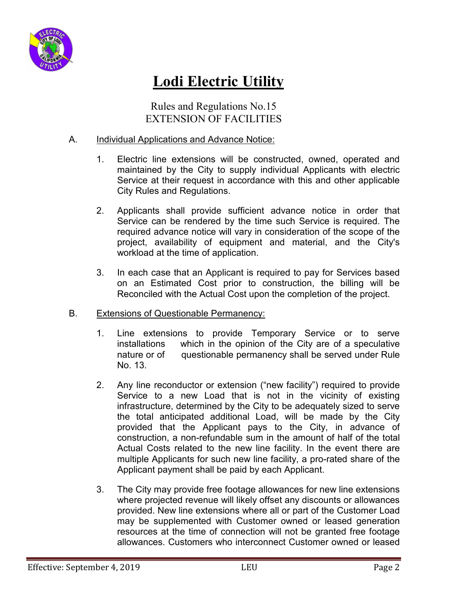

Rules and Regulations No.15 EXTENSION OF FACILITIES

### A. Individual Applications and Advance Notice:

- 1. Electric line extensions will be constructed, owned, operated and maintained by the City to supply individual Applicants with electric Service at their request in accordance with this and other applicable City Rules and Regulations.
- 2. Applicants shall provide sufficient advance notice in order that Service can be rendered by the time such Service is required. The required advance notice will vary in consideration of the scope of the project, availability of equipment and material, and the City's workload at the time of application.
- 3. In each case that an Applicant is required to pay for Services based on an Estimated Cost prior to construction, the billing will be Reconciled with the Actual Cost upon the completion of the project.
- B. Extensions of Questionable Permanency:
	- 1. Line extensions to provide Temporary Service or to serve installations which in the opinion of the City are of a speculative nature or of questionable permanency shall be served under Rule No. 13.
	- 2. Any line reconductor or extension ("new facility") required to provide Service to a new Load that is not in the vicinity of existing infrastructure, determined by the City to be adequately sized to serve the total anticipated additional Load, will be made by the City provided that the Applicant pays to the City, in advance of construction, a non-refundable sum in the amount of half of the total Actual Costs related to the new line facility. In the event there are multiple Applicants for such new line facility, a pro-rated share of the Applicant payment shall be paid by each Applicant.
	- 3. The City may provide free footage allowances for new line extensions where projected revenue will likely offset any discounts or allowances provided. New line extensions where all or part of the Customer Load may be supplemented with Customer owned or leased generation resources at the time of connection will not be granted free footage allowances. Customers who interconnect Customer owned or leased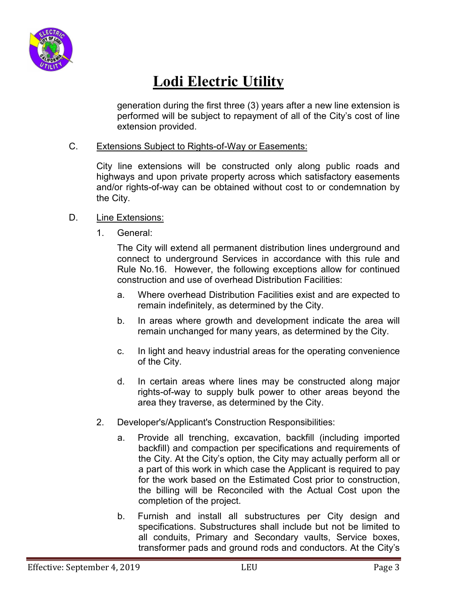

generation during the first three (3) years after a new line extension is performed will be subject to repayment of all of the City's cost of line extension provided.

#### C. Extensions Subject to Rights-of-Way or Easements:

City line extensions will be constructed only along public roads and highways and upon private property across which satisfactory easements and/or rights-of-way can be obtained without cost to or condemnation by the City.

#### D. Line Extensions:

1. General:

The City will extend all permanent distribution lines underground and connect to underground Services in accordance with this rule and Rule No.16. However, the following exceptions allow for continued construction and use of overhead Distribution Facilities:

- a. Where overhead Distribution Facilities exist and are expected to remain indefinitely, as determined by the City.
- b. In areas where growth and development indicate the area will remain unchanged for many years, as determined by the City.
- c. In light and heavy industrial areas for the operating convenience of the City.
- d. In certain areas where lines may be constructed along major rights-of-way to supply bulk power to other areas beyond the area they traverse, as determined by the City.
- 2. Developer's/Applicant's Construction Responsibilities:
	- a. Provide all trenching, excavation, backfill (including imported backfill) and compaction per specifications and requirements of the City. At the City's option, the City may actually perform all or a part of this work in which case the Applicant is required to pay for the work based on the Estimated Cost prior to construction, the billing will be Reconciled with the Actual Cost upon the completion of the project.
	- b. Furnish and install all substructures per City design and specifications. Substructures shall include but not be limited to all conduits, Primary and Secondary vaults, Service boxes, transformer pads and ground rods and conductors. At the City's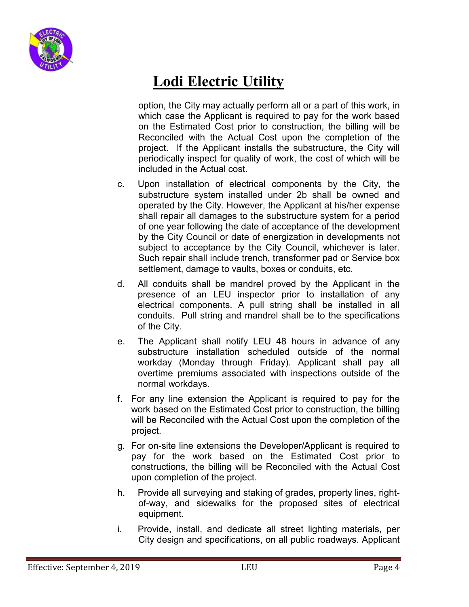

option, the City may actually perform all or a part of this work, in which case the Applicant is required to pay for the work based on the Estimated Cost prior to construction, the billing will be Reconciled with the Actual Cost upon the completion of the project. If the Applicant installs the substructure, the City will periodically inspect for quality of work, the cost of which will be included in the Actual cost.

- c. Upon installation of electrical components by the City, the substructure system installed under 2b shall be owned and operated by the City. However, the Applicant at his/her expense shall repair all damages to the substructure system for a period of one year following the date of acceptance of the development by the City Council or date of energization in developments not subject to acceptance by the City Council, whichever is later. Such repair shall include trench, transformer pad or Service box settlement, damage to vaults, boxes or conduits, etc.
- d. All conduits shall be mandrel proved by the Applicant in the presence of an LEU inspector prior to installation of any electrical components. A pull string shall be installed in all conduits. Pull string and mandrel shall be to the specifications of the City.
- e. The Applicant shall notify LEU 48 hours in advance of any substructure installation scheduled outside of the normal workday (Monday through Friday). Applicant shall pay all overtime premiums associated with inspections outside of the normal workdays.
- f. For any line extension the Applicant is required to pay for the work based on the Estimated Cost prior to construction, the billing will be Reconciled with the Actual Cost upon the completion of the project.
- g. For on-site line extensions the Developer/Applicant is required to pay for the work based on the Estimated Cost prior to constructions, the billing will be Reconciled with the Actual Cost upon completion of the project.
- h. Provide all surveying and staking of grades, property lines, rightof-way, and sidewalks for the proposed sites of electrical equipment.
- i. Provide, install, and dedicate all street lighting materials, per City design and specifications, on all public roadways. Applicant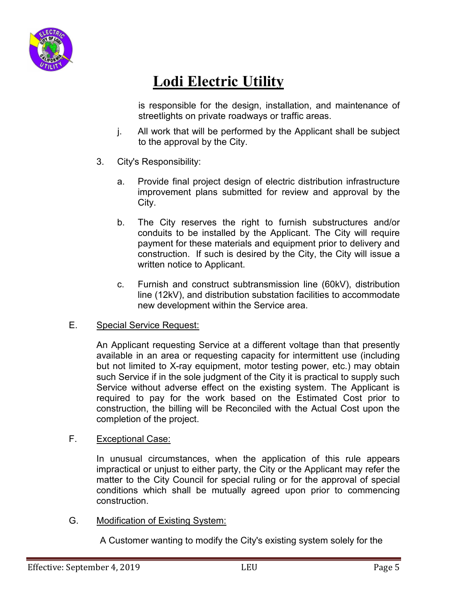

is responsible for the design, installation, and maintenance of streetlights on private roadways or traffic areas.

- j. All work that will be performed by the Applicant shall be subject to the approval by the City.
- 3. City's Responsibility:
	- a. Provide final project design of electric distribution infrastructure improvement plans submitted for review and approval by the City.
	- b. The City reserves the right to furnish substructures and/or conduits to be installed by the Applicant. The City will require payment for these materials and equipment prior to delivery and construction. If such is desired by the City, the City will issue a written notice to Applicant.
	- c. Furnish and construct subtransmission line (60kV), distribution line (12kV), and distribution substation facilities to accommodate new development within the Service area.

### E. Special Service Request:

An Applicant requesting Service at a different voltage than that presently available in an area or requesting capacity for intermittent use (including but not limited to X-ray equipment, motor testing power, etc.) may obtain such Service if in the sole judgment of the City it is practical to supply such Service without adverse effect on the existing system. The Applicant is required to pay for the work based on the Estimated Cost prior to construction, the billing will be Reconciled with the Actual Cost upon the completion of the project.

### F. Exceptional Case:

In unusual circumstances, when the application of this rule appears impractical or unjust to either party, the City or the Applicant may refer the matter to the City Council for special ruling or for the approval of special conditions which shall be mutually agreed upon prior to commencing construction.

### G. Modification of Existing System:

A Customer wanting to modify the City's existing system solely for the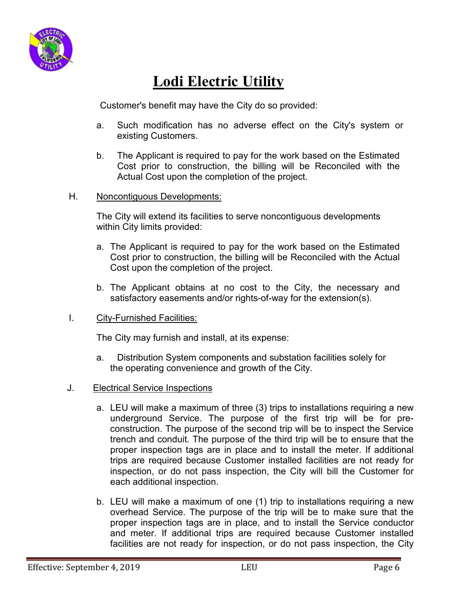

Customer's benefit may have the City do so provided:

- a. Such modification has no adverse effect on the City's system or existing Customers.
- b. The Applicant is required to pay for the work based on the Estimated Cost prior to construction, the billing will be Reconciled with the Actual Cost upon the completion of the project.

#### H. Noncontiguous Developments:

The City will extend its facilities to serve noncontiguous developments within City limits provided:

- a. The Applicant is required to pay for the work based on the Estimated Cost prior to construction, the billing will be Reconciled with the Actual Cost upon the completion of the project.
- b. The Applicant obtains at no cost to the City, the necessary and satisfactory easements and/or rights-of-way for the extension(s).

#### I. City-Furnished Facilities:

The City may furnish and install, at its expense:

a. Distribution System components and substation facilities solely for the operating convenience and growth of the City.

### J. Electrical Service Inspections

- a. LEU will make a maximum of three (3) trips to installations requiring a new underground Service. The purpose of the first trip will be for preconstruction. The purpose of the second trip will be to inspect the Service trench and conduit. The purpose of the third trip will be to ensure that the proper inspection tags are in place and to install the meter. If additional trips are required because Customer installed facilities are not ready for inspection, or do not pass inspection, the City will bill the Customer for each additional inspection.
- b. LEU will make a maximum of one (1) trip to installations requiring a new overhead Service. The purpose of the trip will be to make sure that the proper inspection tags are in place, and to install the Service conductor and meter. If additional trips are required because Customer installed facilities are not ready for inspection, or do not pass inspection, the City